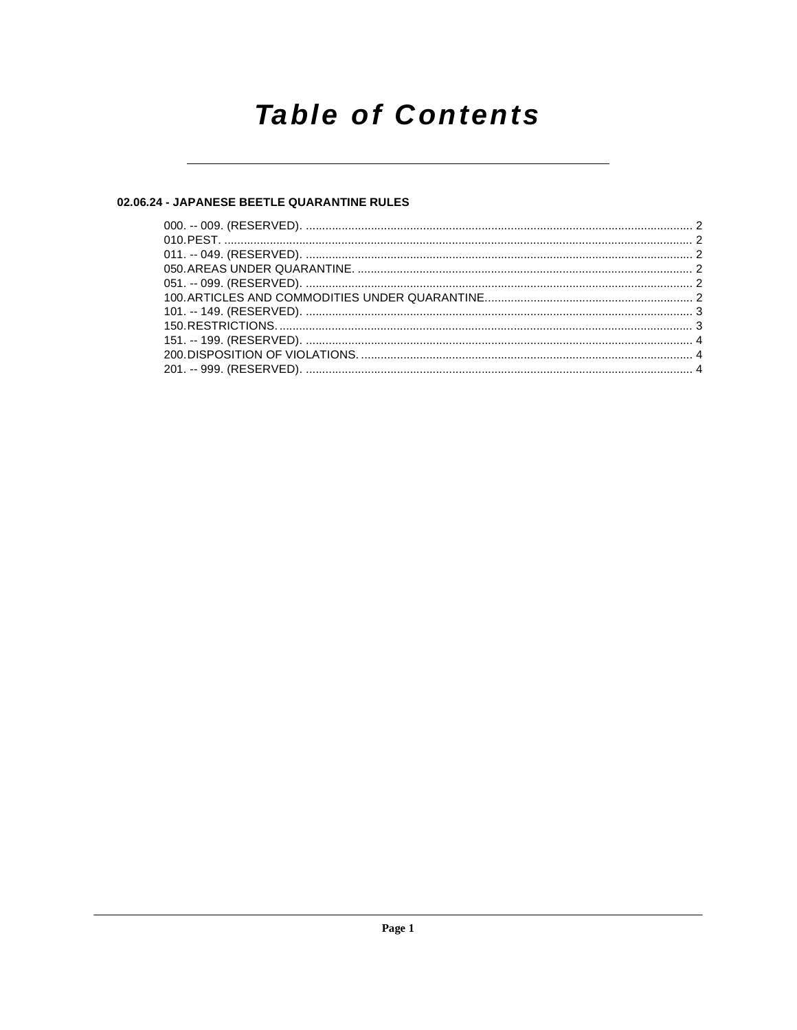# **Table of Contents**

# 02.06.24 - JAPANESE BEETLE QUARANTINE RULES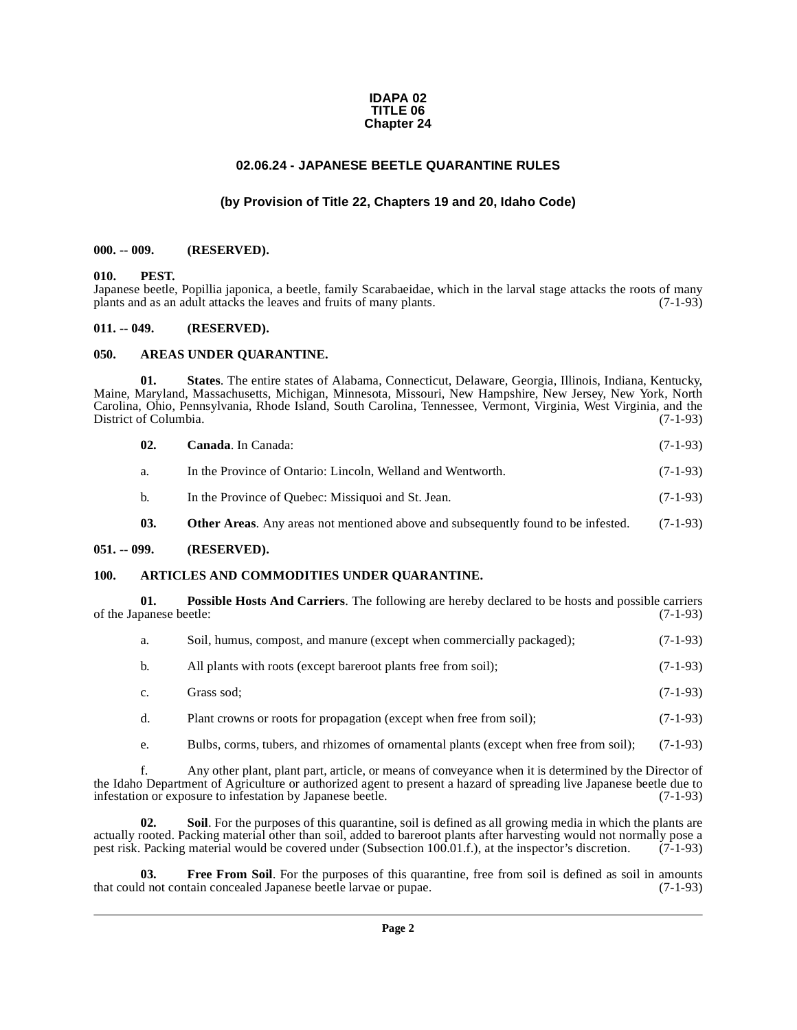#### **IDAPA 02 TITLE 06 Chapter 24**

# **02.06.24 - JAPANESE BEETLE QUARANTINE RULES**

# **(by Provision of Title 22, Chapters 19 and 20, Idaho Code)**

#### <span id="page-1-1"></span><span id="page-1-0"></span>**000. -- 009. (RESERVED).**

#### <span id="page-1-11"></span><span id="page-1-2"></span>**010. PEST.**

Japanese beetle, Popillia japonica, a beetle, family Scarabaeidae, which in the larval stage attacks the roots of many plants and as an adult attacks the leaves and fruits of many plants. (7-1-93) plants and as an adult attacks the leaves and fruits of many plants.

#### <span id="page-1-3"></span>**011. -- 049. (RESERVED).**

#### <span id="page-1-7"></span><span id="page-1-4"></span>**050. AREAS UNDER QUARANTINE.**

**01. States**. The entire states of Alabama, Connecticut, Delaware, Georgia, Illinois, Indiana, Kentucky, Maine, Maryland, Massachusetts, Michigan, Minnesota, Missouri, New Hampshire, New Jersey, New York, North Carolina, Ohio, Pennsylvania, Rhode Island, South Carolina, Tennessee, Vermont, Virginia, West Virginia, and the District of Columbia. (7-1-93)

<span id="page-1-14"></span><span id="page-1-9"></span>

| 02. | <b>Canada.</b> In Canada:                                                                | $(7-1-93)$ |
|-----|------------------------------------------------------------------------------------------|------------|
| a.  | In the Province of Ontario: Lincoln, Welland and Wentworth.                              | $(7-1-93)$ |
| b.  | In the Province of Quebec: Missiquoi and St. Jean.                                       | $(7-1-93)$ |
| 03. | <b>Other Areas.</b> Any areas not mentioned above and subsequently found to be infested. | $(7-1-93)$ |

#### <span id="page-1-5"></span>**051. -- 099. (RESERVED).**

#### <span id="page-1-8"></span><span id="page-1-6"></span>**100. ARTICLES AND COMMODITIES UNDER QUARANTINE.**

**01. Possible Hosts And Carriers**. The following are hereby declared to be hosts and possible carriers panese beetle: (7-1-93) of the Japanese beetle:

<span id="page-1-12"></span>

| a.             | Soil, humus, compost, and manure (except when commercially packaged); | $(7-1-93)$ |
|----------------|-----------------------------------------------------------------------|------------|
| $\mathbf{b}$ . | All plants with roots (except bareroot plants free from soil);        | $(7-1-93)$ |
| $\mathbf{c}$ . | Grass sod:                                                            | $(7-1-93)$ |
| d.             | Plant crowns or roots for propagation (except when free from soil);   | $(7-1-93)$ |

<span id="page-1-13"></span>e. Bulbs, corms, tubers, and rhizomes of ornamental plants (except when free from soil); (7-1-93)

f. Any other plant, plant part, article, or means of conveyance when it is determined by the Director of the Idaho Department of Agriculture or authorized agent to present a hazard of spreading live Japanese beetle due to infestation or exposure to infestation by Japanese beetle. (7-1-93) infestation or exposure to infestation by Japanese beetle.

**02. Soil**. For the purposes of this quarantine, soil is defined as all growing media in which the plants are actually rooted. Packing material other than soil, added to bareroot plants after harvesting would not normally pose a pest risk. Packing material would be covered under (Subsection 100.01.f.), at the inspector's discretion. (7-1-93)

<span id="page-1-10"></span>**03.** Free From Soil. For the purposes of this quarantine, free from soil is defined as soil in amounts d not contain concealed Japanese beetle larvae or pupae. (7-1-93) that could not contain concealed Japanese beetle larvae or pupae.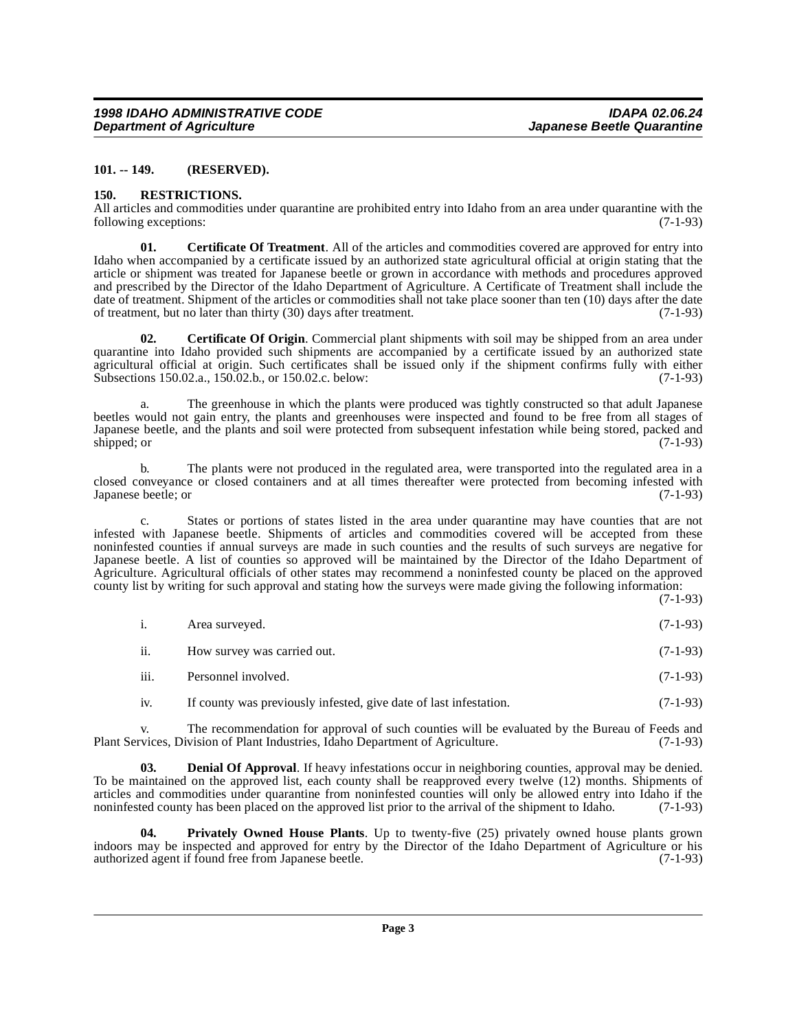#### <span id="page-2-0"></span>**101. -- 149. (RESERVED).**

#### <span id="page-2-6"></span><span id="page-2-1"></span>**150. RESTRICTIONS.**

All articles and commodities under quarantine are prohibited entry into Idaho from an area under quarantine with the following exceptions: (7-1-93) following exceptions:

<span id="page-2-3"></span>**01. Certificate Of Treatment**. All of the articles and commodities covered are approved for entry into Idaho when accompanied by a certificate issued by an authorized state agricultural official at origin stating that the article or shipment was treated for Japanese beetle or grown in accordance with methods and procedures approved and prescribed by the Director of the Idaho Department of Agriculture. A Certificate of Treatment shall include the date of treatment. Shipment of the articles or commodities shall not take place sooner than ten (10) days after the date of treatment. but no later than thirty (30) days after treatment. of treatment, but no later than thirty  $(30)$  days after treatment.

<span id="page-2-2"></span>**02.** Certificate Of Origin. Commercial plant shipments with soil may be shipped from an area under quarantine into Idaho provided such shipments are accompanied by a certificate issued by an authorized state agricultural official at origin. Such certificates shall be issued only if the shipment confirms fully with either Subsections 150.02.a., 150.02.b., or 150.02.c. below:  $(7-1-93)$ Subsections 150.02.a., 150.02.b., or 150.02.c. below:

a. The greenhouse in which the plants were produced was tightly constructed so that adult Japanese beetles would not gain entry, the plants and greenhouses were inspected and found to be free from all stages of Japanese beetle, and the plants and soil were protected from subsequent infestation while being stored, packed and shipped; or (7-1-93) shipped; or (7-1-93)

b. The plants were not produced in the regulated area, were transported into the regulated area in a closed conveyance or closed containers and at all times thereafter were protected from becoming infested with Japanese beetle; or (7-1-93) Japanese beetle; or

c. States or portions of states listed in the area under quarantine may have counties that are not infested with Japanese beetle. Shipments of articles and commodities covered will be accepted from these noninfested counties if annual surveys are made in such counties and the results of such surveys are negative for Japanese beetle. A list of counties so approved will be maintained by the Director of the Idaho Department of Agriculture. Agricultural officials of other states may recommend a noninfested county be placed on the approved county list by writing for such approval and stating how the surveys were made giving the following information:

(7-1-93)

- i. Area surveyed. (7-1-93)
- ii. How survey was carried out. (7-1-93)
- iii. Personnel involved. (7-1-93)
- <span id="page-2-4"></span>iv. If county was previously infested, give date of last infestation. (7-1-93)

v. The recommendation for approval of such counties will be evaluated by the Bureau of Feeds and vices. Division of Plant Industries. Idaho Department of Agriculture. (7-1-93) Plant Services, Division of Plant Industries, Idaho Department of Agriculture.

**03. Denial Of Approval**. If heavy infestations occur in neighboring counties, approval may be denied. To be maintained on the approved list, each county shall be reapproved every twelve (12) months. Shipments of articles and commodities under quarantine from noninfested counties will only be allowed entry into Idaho if the noninfested county has been placed on the approved list prior to the arrival of the shipment to Idaho. (7-1-9 noninfested county has been placed on the approved list prior to the arrival of the shipment to Idaho.

<span id="page-2-5"></span>**04. Privately Owned House Plants**. Up to twenty-five (25) privately owned house plants grown indoors may be inspected and approved for entry by the Director of the Idaho Department of Agriculture or his authorized agent if found free from Japanese beetle.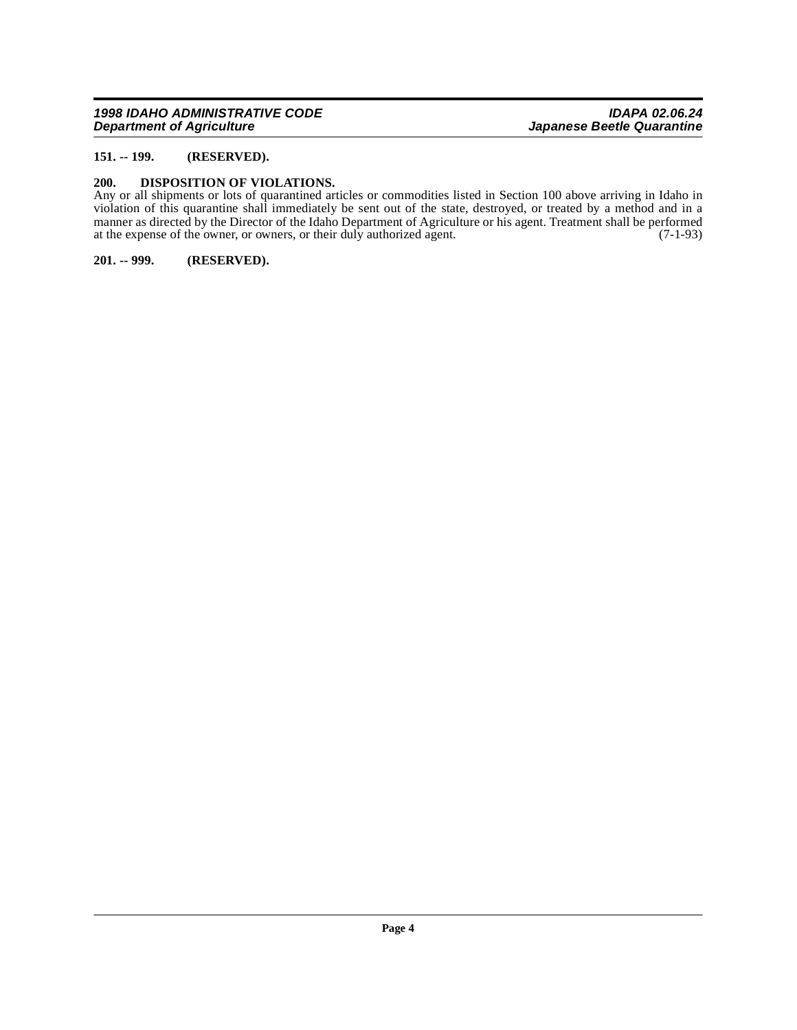### <span id="page-3-0"></span>**151. -- 199. (RESERVED).**

#### <span id="page-3-3"></span><span id="page-3-1"></span>**200. DISPOSITION OF VIOLATIONS.**

Any or all shipments or lots of quarantined articles or commodities listed in Section 100 above arriving in Idaho in violation of this quarantine shall immediately be sent out of the state, destroyed, or treated by a method and in a manner as directed by the Director of the Idaho Department of Agriculture or his agent. Treatment shall be performed at the expense of the owner, or owners, or their duly authorized agent. (7-1-93)

<span id="page-3-2"></span>**201. -- 999. (RESERVED).**